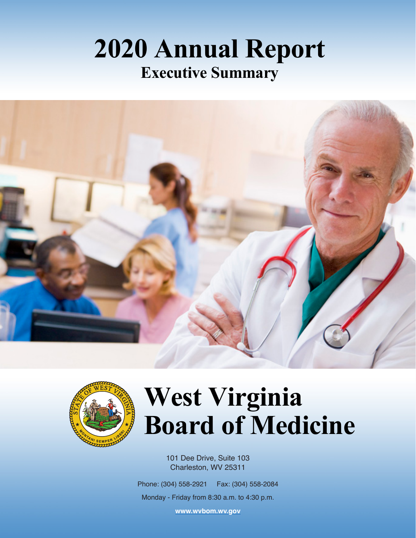## **2020 Annual Report Executive Summary**





# **West Virginia Board of Medicine**

101 Dee Drive, Suite 103 Charleston, WV 25311

Phone: (304) 558-2921 Fax: (304) 558-2084

Monday - Friday from 8:30 a.m. to 4:30 p.m.

**[www.wvbom.wv.gov](http://www.wvbom.wv.gov)**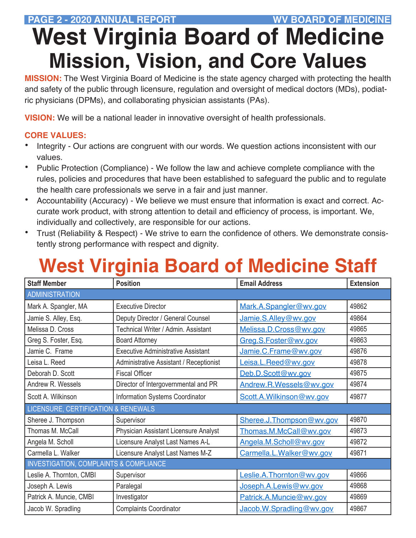#### PAGE 2 - 2020 ANNUAL REPORT **WITH A SERVICE AND A REPORT AND A REPORT**

# **West Virginia Board of Medicine Mission, Vision, and Core Values**

**MISSION:** The West Virginia Board of Medicine is the state agency charged with protecting the health and safety of the public through licensure, regulation and oversight of medical doctors (MDs), podiatric physicians (DPMs), and collaborating physician assistants (PAs).

**VISION:** We will be a national leader in innovative oversight of health professionals.

#### **CORE VALUES:**

- Integrity Our actions are congruent with our words. We question actions inconsistent with our values.
- Public Protection (Compliance) We follow the law and achieve complete compliance with the rules, policies and procedures that have been established to safeguard the public and to regulate the health care professionals we serve in a fair and just manner.
- Accountability (Accuracy) We believe we must ensure that information is exact and correct. Accurate work product, with strong attention to detail and efficiency of process, is important. We, individually and collectively, are responsible for our actions.
- Trust (Reliability & Respect) We strive to earn the confidence of others. We demonstrate consistently strong performance with respect and dignity.

## **West Virginia Board of Medicine Staff**

| <b>Staff Member</b>                               | <b>Position</b>                                | <b>Email Address</b>     | <b>Extension</b> |
|---------------------------------------------------|------------------------------------------------|--------------------------|------------------|
| <b>ADMINISTRATION</b>                             |                                                |                          |                  |
| Mark A. Spangler, MA                              | <b>Executive Director</b>                      | Mark.A.Spangler@wv.gov   | 49862            |
| Jamie S. Alley, Esq.                              | Deputy Director / General Counsel              | Jamie.S.Alley@wv.gov     | 49864            |
| Melissa D. Cross                                  | Technical Writer / Admin. Assistant            | Melissa.D.Cross@wv.gov   | 49865            |
| Greg S. Foster, Esq.                              | <b>Board Attorney</b>                          | Greg.S.Foster@wv.gov     | 49863            |
| Jamie C. Frame                                    | <b>Executive Administrative Assistant</b>      | Jamie.C.Frame@wv.gov     | 49876            |
| Leisa L. Reed                                     | <b>Administrative Assistant / Receptionist</b> | Leisa.L.Reed@wv.gov      | 49878            |
| Deborah D. Scott                                  | <b>Fiscal Officer</b>                          | Deb.D.Scott@wv.gov       | 49875            |
| Andrew R. Wessels                                 | Director of Intergovernmental and PR           | Andrew.R.Wessels@wv.gov  | 49874            |
| Scott A. Wilkinson                                | Information Systems Coordinator                | Scott.A.Wilkinson@wv.gov | 49877            |
| LICENSURE, CERTIFICATION & RENEWALS               |                                                |                          |                  |
| Sheree J. Thompson                                | Supervisor                                     | Sheree.J.Thompson@wv.gov | 49870            |
| Thomas M. McCall                                  | Physician Assistant Licensure Analyst          | Thomas.M.McCall@wv.gov   | 49873            |
| Angela M. Scholl                                  | Licensure Analyst Last Names A-L               | Angela.M.Scholl@wv.gov   | 49872            |
| Carmella L. Walker                                | Licensure Analyst Last Names M-Z               | Carmella.L.Walker@wv.gov | 49871            |
| <b>INVESTIGATION, COMPLAINTS &amp; COMPLIANCE</b> |                                                |                          |                  |
| Leslie A. Thornton, CMBI                          | Supervisor                                     | Leslie.A.Thornton@wv.gov | 49866            |
| Joseph A. Lewis                                   | Paralegal                                      | Joseph.A.Lewis@wv.gov    | 49868            |
| Patrick A. Muncie, CMBI                           | Investigator                                   | Patrick.A.Muncie@wv.gov  | 49869            |
| Jacob W. Spradling                                | <b>Complaints Coordinator</b>                  | Jacob.W.Spradling@wv.gov | 49867            |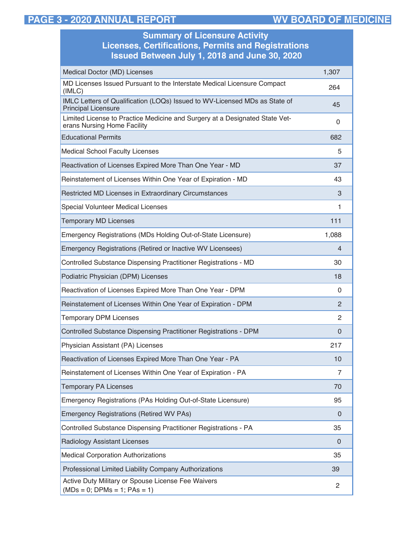#### **PAGE 3 - 2020 ANNUAL REPORT WV BOARD OF MEDICINE**

ř.

| <b>Summary of Licensure Activity</b><br><b>Licenses, Certifications, Permits and Registrations</b><br><b>Issued Between July 1, 2018 and June 30, 2020</b> |                |  |
|------------------------------------------------------------------------------------------------------------------------------------------------------------|----------------|--|
| Medical Doctor (MD) Licenses                                                                                                                               | 1,307          |  |
| MD Licenses Issued Pursuant to the Interstate Medical Licensure Compact<br>(IMLC)                                                                          | 264            |  |
| IMLC Letters of Qualification (LOQs) Issued to WV-Licensed MDs as State of<br><b>Principal Licensure</b>                                                   | 45             |  |
| Limited License to Practice Medicine and Surgery at a Designated State Vet-<br>erans Nursing Home Facility                                                 | 0              |  |
| <b>Educational Permits</b>                                                                                                                                 | 682            |  |
| <b>Medical School Faculty Licenses</b>                                                                                                                     | 5              |  |
| Reactivation of Licenses Expired More Than One Year - MD                                                                                                   | 37             |  |
| Reinstatement of Licenses Within One Year of Expiration - MD                                                                                               | 43             |  |
| Restricted MD Licenses in Extraordinary Circumstances                                                                                                      | 3              |  |
| <b>Special Volunteer Medical Licenses</b>                                                                                                                  | 1              |  |
| <b>Temporary MD Licenses</b>                                                                                                                               | 111            |  |
| Emergency Registrations (MDs Holding Out-of-State Licensure)                                                                                               | 1,088          |  |
| Emergency Registrations (Retired or Inactive WV Licensees)                                                                                                 | 4              |  |
| Controlled Substance Dispensing Practitioner Registrations - MD                                                                                            | 30             |  |
| Podiatric Physician (DPM) Licenses                                                                                                                         | 18             |  |
| Reactivation of Licenses Expired More Than One Year - DPM                                                                                                  | 0              |  |
| Reinstatement of Licenses Within One Year of Expiration - DPM                                                                                              | 2              |  |
| <b>Temporary DPM Licenses</b>                                                                                                                              | 2              |  |
| Controlled Substance Dispensing Practitioner Registrations - DPM                                                                                           | $\mathbf{0}$   |  |
| Physician Assistant (PA) Licenses                                                                                                                          | 217            |  |
| Reactivation of Licenses Expired More Than One Year - PA                                                                                                   | 10             |  |
| Reinstatement of Licenses Within One Year of Expiration - PA                                                                                               | $\overline{7}$ |  |
| <b>Temporary PA Licenses</b>                                                                                                                               | 70             |  |
| Emergency Registrations (PAs Holding Out-of-State Licensure)                                                                                               | 95             |  |
| <b>Emergency Registrations (Retired WV PAs)</b>                                                                                                            | $\Omega$       |  |
| Controlled Substance Dispensing Practitioner Registrations - PA                                                                                            | 35             |  |
| Radiology Assistant Licenses                                                                                                                               | 0              |  |
| <b>Medical Corporation Authorizations</b>                                                                                                                  | 35             |  |
| Professional Limited Liability Company Authorizations                                                                                                      | 39             |  |
| Active Duty Military or Spouse License Fee Waivers<br>$(MDs = 0; DPMs = 1; PAs = 1)$                                                                       | 2              |  |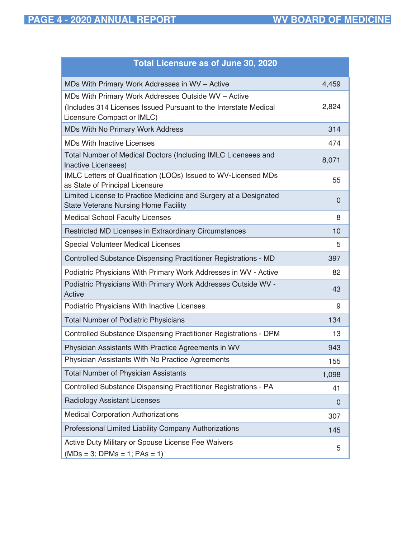| <b>Total Licensure as of June 30, 2020</b>                                                                      |       |
|-----------------------------------------------------------------------------------------------------------------|-------|
| MDs With Primary Work Addresses in WV - Active                                                                  | 4,459 |
| MDs With Primary Work Addresses Outside WV - Active                                                             |       |
| (Includes 314 Licenses Issued Pursuant to the Interstate Medical<br>Licensure Compact or IMLC)                  | 2,824 |
| <b>MDs With No Primary Work Address</b>                                                                         | 314   |
| <b>MDs With Inactive Licenses</b>                                                                               | 474   |
| Total Number of Medical Doctors (Including IMLC Licensees and<br>Inactive Licensees)                            | 8,071 |
| IMLC Letters of Qualification (LOQs) Issued to WV-Licensed MDs<br>as State of Principal Licensure               | 55    |
| Limited License to Practice Medicine and Surgery at a Designated<br><b>State Veterans Nursing Home Facility</b> | 0     |
| <b>Medical School Faculty Licenses</b>                                                                          | 8     |
| Restricted MD Licenses in Extraordinary Circumstances                                                           | 10    |
| <b>Special Volunteer Medical Licenses</b>                                                                       | 5     |
| Controlled Substance Dispensing Practitioner Registrations - MD                                                 | 397   |
| Podiatric Physicians With Primary Work Addresses in WV - Active                                                 | 82    |
| Podiatric Physicians With Primary Work Addresses Outside WV -<br>Active                                         | 43    |
| Podiatric Physicians With Inactive Licenses                                                                     | 9     |
| <b>Total Number of Podiatric Physicians</b>                                                                     | 134   |
| Controlled Substance Dispensing Practitioner Registrations - DPM                                                | 13    |
| Physician Assistants With Practice Agreements in WV                                                             | 943   |
| Physician Assistants With No Practice Agreements                                                                | 155   |
| <b>Total Number of Physician Assistants</b>                                                                     | 1,098 |
| Controlled Substance Dispensing Practitioner Registrations - PA                                                 | 41    |
| <b>Radiology Assistant Licenses</b>                                                                             | 0     |
| <b>Medical Corporation Authorizations</b>                                                                       | 307   |
| Professional Limited Liability Company Authorizations                                                           | 145   |
| Active Duty Military or Spouse License Fee Waivers<br>$(MDs = 3; DPMs = 1; PAs = 1)$                            | 5     |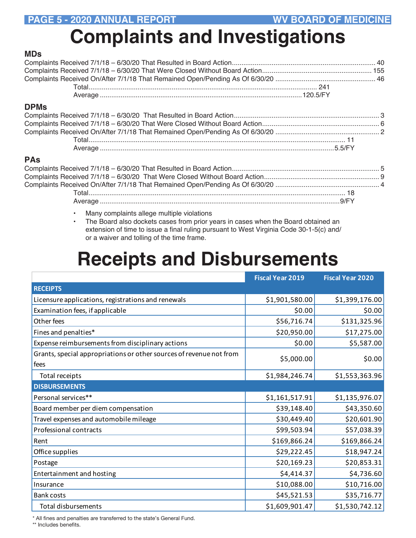## **Complaints and Investigations**

#### **MDs**

#### **DPMs**

#### **PAs**

- Many complaints allege multiple violations
- The Board also dockets cases from prior years in cases when the Board obtained an extension of time to issue a final ruling pursuant to West Virginia Code 30-1-5(c) and/ or a waiver and tolling of the time frame.

### **Receipts and Disbursements**

|                                                                             | <b>Fiscal Year 2019</b> | <b>Fiscal Year 2020</b> |
|-----------------------------------------------------------------------------|-------------------------|-------------------------|
| <b>RECEIPTS</b>                                                             |                         |                         |
| Licensure applications, registrations and renewals                          | \$1,901,580.00          | \$1,399,176.00          |
| Examination fees, if applicable                                             | \$0.00                  | \$0.00                  |
| Other fees                                                                  | \$56,716.74             | \$131,325.96            |
| Fines and penalties*                                                        | \$20,950.00             | \$17,275.00             |
| Expense reimbursements from disciplinary actions                            | \$0.00                  | \$5,587.00              |
| Grants, special appropriations or other sources of revenue not from<br>fees | \$5,000.00              | \$0.00                  |
| Total receipts                                                              | \$1,984,246.74          | \$1,553,363.96          |
| <b>DISBURSEMENTS</b>                                                        |                         |                         |
| Personal services**                                                         | \$1,161,517.91          | \$1,135,976.07          |
| Board member per diem compensation                                          | \$39,148.40             | \$43,350.60             |
| Travel expenses and automobile mileage                                      | \$30,449.40             | \$20,601.90             |
| Professional contracts                                                      | \$99,503.94             | \$57,038.39             |
| Rent                                                                        | \$169,866.24            | \$169,866.24            |
| Office supplies                                                             | \$29,222.45             | \$18,947.24             |
| Postage                                                                     | \$20,169.23             | \$20,853.31             |
| Entertainment and hosting                                                   | \$4,414.37              | \$4,736.60              |
| Insurance                                                                   | \$10,088.00             | \$10,716.00             |
| <b>Bank costs</b>                                                           | \$45,521.53             | \$35,716.77             |
| Total disbursements                                                         | \$1,609,901.47          | \$1,530,742.12          |

\* All fines and penalties are transferred to the state's General Fund.

\*\* Includes benefits.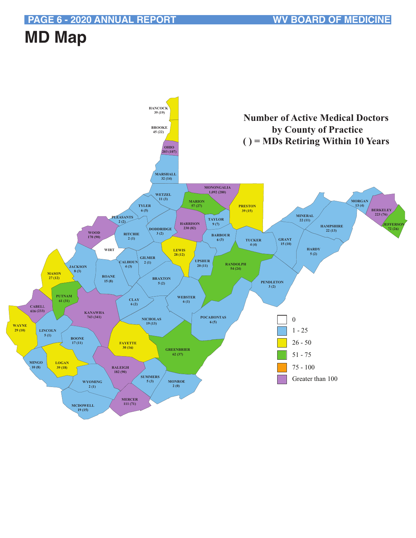### **MD Map**

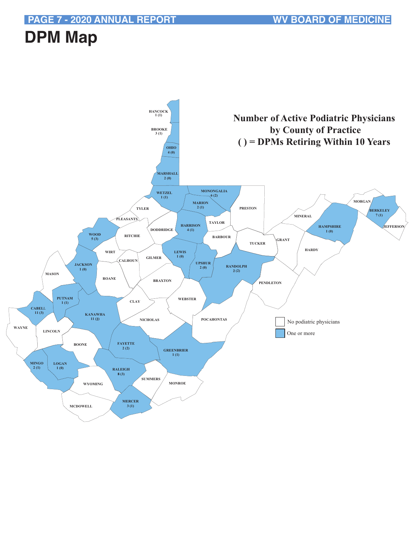### **DPM Map**